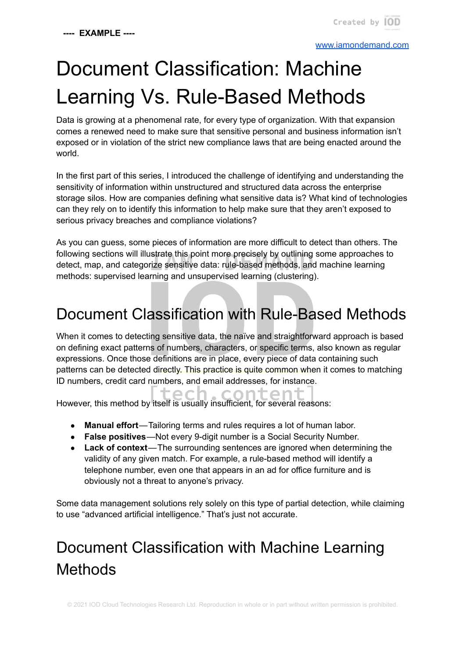#### [www.iamondemand.com](http://www.iamondemand.com)

# Document Classification: Machine Learning Vs. Rule-Based Methods

Data is growing at a phenomenal rate, for every type of organization. With that expansion comes a renewed need to make sure that sensitive personal and business information isn't exposed or in violation of the strict new compliance laws that are being enacted around the world.

In the first part of this series, I introduced the challenge of identifying and understanding the sensitivity of information within unstructured and structured data across the enterprise storage silos. How are companies defining what sensitive data is? What kind of technologies can they rely on to identify this information to help make sure that they aren't exposed to serious privacy breaches and compliance violations?

As you can guess, some pieces of information are more difficult to detect than others. The following sections will illustrate this point more precisely by outlining some approaches to detect, map, and categorize sensitive data: rule-based methods, and machine learning methods: supervised learning and unsupervised learning (clustering).

## Document Classification with Rule-Based Methods

When it comes to detecting sensitive data, the naïve and straightforward approach is based on defining exact patterns of numbers, characters, or specific terms, also known as regular expressions. Once those definitions are in place, every piece of data containing such patterns can be detected directly. This practice is quite common when it comes to matching ID numbers, credit card numbers, and email addresses, for instance.

tech.content However, this method by itself is usually insufficient, for several reasons:

- **Manual effort**—Tailoring terms and rules requires a lot of human labor.
- **False positives**—Not every 9-digit number is a Social Security Number.
- **Lack of context**—The surrounding sentences are ignored when determining the validity of any given match. For example, a rule-based method will identify a telephone number, even one that appears in an ad for office furniture and is obviously not a threat to anyone's privacy.

Some data management solutions rely solely on this type of partial detection, while claiming to use "advanced artificial intelligence." That's just not accurate.

# Document Classification with Machine Learning Methods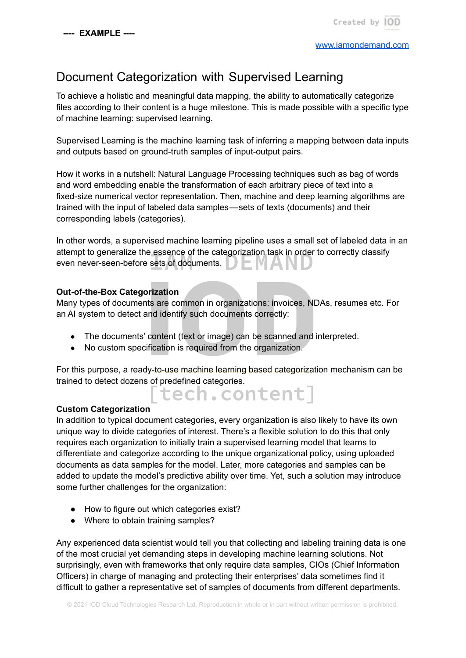### Document Categorization with Supervised Learning

To achieve a holistic and meaningful data mapping, the ability to automatically categorize files according to their content is a huge milestone. This is made possible with a specific type of machine learning: supervised learning.

Supervised Learning is the machine learning task of inferring a mapping between data inputs and outputs based on ground-truth samples of input-output pairs.

How it works in a nutshell: Natural Language Processing techniques such as bag of words and word embedding enable the transformation of each arbitrary piece of text into a fixed-size numerical vector representation. Then, machine and deep learning algorithms are trained with the input of labeled data samples—sets of texts (documents) and their corresponding labels (categories).

In other words, a supervised machine learning pipeline uses a small set of labeled data in an attempt to generalize the essence of the categorization task in order to correctly classify even never-seen-before sets of documents.

#### **Out-of-the-Box Categorization**

Many types of documents are common in organizations: invoices, NDAs, resumes etc. For an AI system to detect and identify such documents correctly:

- The documents' content (text or image) can be scanned and interpreted.
- No custom specification is required from the organization.

For this purpose, a ready-to-use machine learning based categorization mechanism can be trained to detect dozens of predefined categories.

#### **Custom Categorization**

In addition to typical document categories, every organization is also likely to have its own unique way to divide categories of interest. There's a flexible solution to do this that only requires each organization to initially train a supervised learning model that learns to differentiate and categorize according to the unique organizational policy, using uploaded documents as data samples for the model. Later, more categories and samples can be added to update the model's predictive ability over time. Yet, such a solution may introduce some further challenges for the organization:

- How to figure out which categories exist?
- Where to obtain training samples?

Any experienced data scientist would tell you that collecting and labeling training data is one of the most crucial yet demanding steps in developing machine learning solutions. Not surprisingly, even with frameworks that only require data samples, CIOs (Chief Information Officers) in charge of managing and protecting their enterprises' data sometimes find it difficult to gather a representative set of samples of documents from different departments.